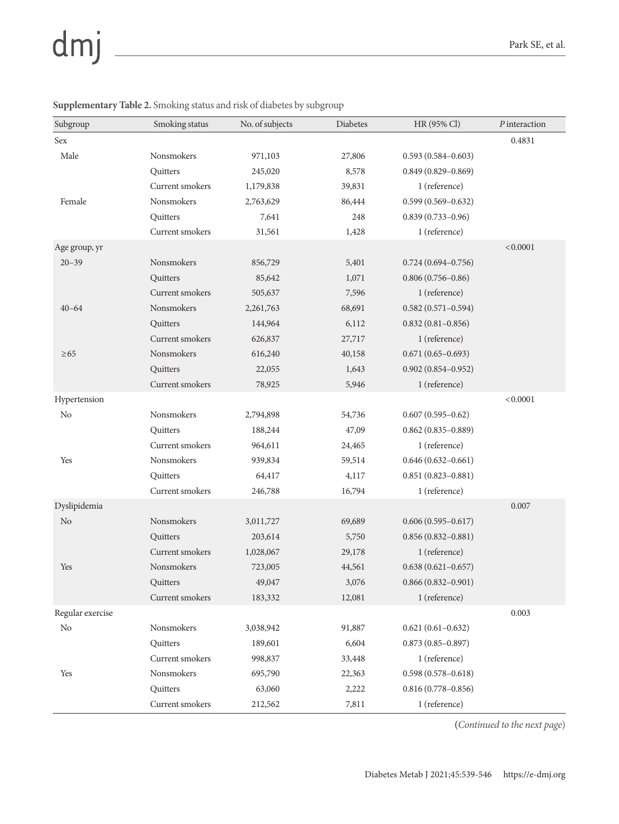## dmj

| Subgroup         | Smoking status    | No. of subjects | <b>Diabetes</b> | HR (95% Cl)            | P interaction |
|------------------|-------------------|-----------------|-----------------|------------------------|---------------|
| Sex              |                   |                 |                 |                        | 0.4831        |
| Male             | Nonsmokers        | 971,103         | 27,806          | $0.593(0.584 - 0.603)$ |               |
|                  | Quitters          | 245,020         | 8,578           | $0.849(0.829 - 0.869)$ |               |
|                  | Current smokers   | 1,179,838       | 39,831          | 1 (reference)          |               |
| Female           | <b>Nonsmokers</b> | 2,763,629       | 86,444          | $0.599(0.569 - 0.632)$ |               |
|                  | Quitters          | 7,641           | 248             | $0.839(0.733 - 0.96)$  |               |
|                  | Current smokers   | 31,561          | 1,428           | 1 (reference)          |               |
| Age group, yr    |                   |                 |                 |                        | < 0.0001      |
| $20 - 39$        | Nonsmokers        | 856,729         | 5,401           | $0.724(0.694 - 0.756)$ |               |
|                  | Quitters          | 85,642          | 1,071           | $0.806(0.756 - 0.86)$  |               |
|                  | Current smokers   | 505,637         | 7,596           | 1 (reference)          |               |
| $40 - 64$        | Nonsmokers        | 2,261,763       | 68,691          | $0.582(0.571 - 0.594)$ |               |
|                  | Quitters          | 144,964         | 6,112           | $0.832(0.81 - 0.856)$  |               |
|                  | Current smokers   | 626,837         | 27,717          | 1 (reference)          |               |
| $\geq 65$        | Nonsmokers        | 616,240         | 40,158          | $0.671(0.65 - 0.693)$  |               |
|                  | Quitters          | 22,055          | 1,643           | $0.902(0.854 - 0.952)$ |               |
|                  | Current smokers   | 78,925          | 5,946           | 1 (reference)          |               |
| Hypertension     |                   |                 |                 |                        | < 0.0001      |
| N <sub>o</sub>   | Nonsmokers        | 2,794,898       | 54,736          | $0.607(0.595 - 0.62)$  |               |
|                  | Quitters          | 188,244         | 47,09           | $0.862(0.835 - 0.889)$ |               |
|                  | Current smokers   | 964,611         | 24,465          | 1 (reference)          |               |
| Yes              | Nonsmokers        | 939,834         | 59,514          | $0.646(0.632 - 0.661)$ |               |
|                  | Quitters          | 64,417          | 4,117           | $0.851(0.823 - 0.881)$ |               |
|                  | Current smokers   | 246,788         | 16,794          | 1 (reference)          |               |
| Dyslipidemia     |                   |                 |                 |                        | $0.007\,$     |
| N <sub>o</sub>   | Nonsmokers        | 3,011,727       | 69,689          | $0.606(0.595 - 0.617)$ |               |
|                  | Quitters          | 203,614         | 5,750           | $0.856(0.832 - 0.881)$ |               |
|                  | Current smokers   | 1,028,067       | 29,178          | 1 (reference)          |               |
| Yes              | Nonsmokers        | 723,005         | 44,561          | $0.638(0.621 - 0.657)$ |               |
|                  | Quitters          | 49,047          | 3,076           | $0.866(0.832 - 0.901)$ |               |
|                  | Current smokers   | 183,332         | 12,081          | 1 (reference)          |               |
| Regular exercise |                   |                 |                 |                        | 0.003         |
| N <sub>o</sub>   | Nonsmokers        | 3,038,942       | 91,887          | $0.621(0.61 - 0.632)$  |               |
|                  | Quitters          | 189,601         | 6,604           | $0.873(0.85 - 0.897)$  |               |
|                  | Current smokers   | 998,837         | 33,448          | 1 (reference)          |               |
| Yes              | Nonsmokers        | 695,790         | 22,363          | $0.598(0.578 - 0.618)$ |               |
|                  | Quitters          | 63,060          | 2,222           | $0.816(0.778 - 0.856)$ |               |
|                  | Current smokers   | 212,562         | 7,811           | 1 (reference)          |               |

## **Supplementary Table 2.** Smoking status and risk of diabetes by subgroup

**(***Continued to the next page*)